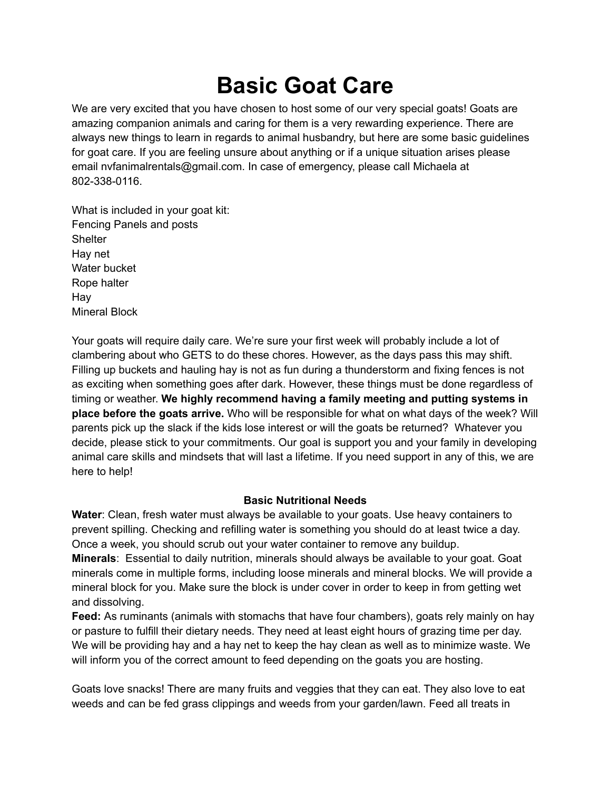# **Basic Goat Care**

We are very excited that you have chosen to host some of our very special goats! Goats are amazing companion animals and caring for them is a very rewarding experience. There are always new things to learn in regards to animal husbandry, but here are some basic guidelines for goat care. If you are feeling unsure about anything or if a unique situation arises please email nvfanimalrentals@gmail.com. In case of emergency, please call Michaela at 802-338-0116.

What is included in your goat kit: Fencing Panels and posts **Shelter** Hay net Water bucket Rope halter Hay Mineral Block

Your goats will require daily care. We're sure your first week will probably include a lot of clambering about who GETS to do these chores. However, as the days pass this may shift. Filling up buckets and hauling hay is not as fun during a thunderstorm and fixing fences is not as exciting when something goes after dark. However, these things must be done regardless of timing or weather. **We highly recommend having a family meeting and putting systems in place before the goats arrive.** Who will be responsible for what on what days of the week? Will parents pick up the slack if the kids lose interest or will the goats be returned? Whatever you decide, please stick to your commitments. Our goal is support you and your family in developing animal care skills and mindsets that will last a lifetime. If you need support in any of this, we are here to help!

## **Basic Nutritional Needs**

**Water**: Clean, fresh water must always be available to your goats. Use heavy containers to prevent spilling. Checking and refilling water is something you should do at least twice a day. Once a week, you should scrub out your water container to remove any buildup.

**Minerals**: Essential to daily nutrition, minerals should always be available to your goat. Goat minerals come in multiple forms, including loose minerals and mineral blocks. We will provide a mineral block for you. Make sure the block is under cover in order to keep in from getting wet and dissolving.

**Feed:** As ruminants (animals with stomachs that have four chambers), goats rely mainly on hay or pasture to fulfill their dietary needs. They need at least eight hours of grazing time per day. We will be providing hay and a hay net to keep the hay clean as well as to minimize waste. We will inform you of the correct amount to feed depending on the goats you are hosting.

Goats love snacks! There are many fruits and veggies that they can eat. They also love to eat weeds and can be fed grass clippings and weeds from your garden/lawn. Feed all treats in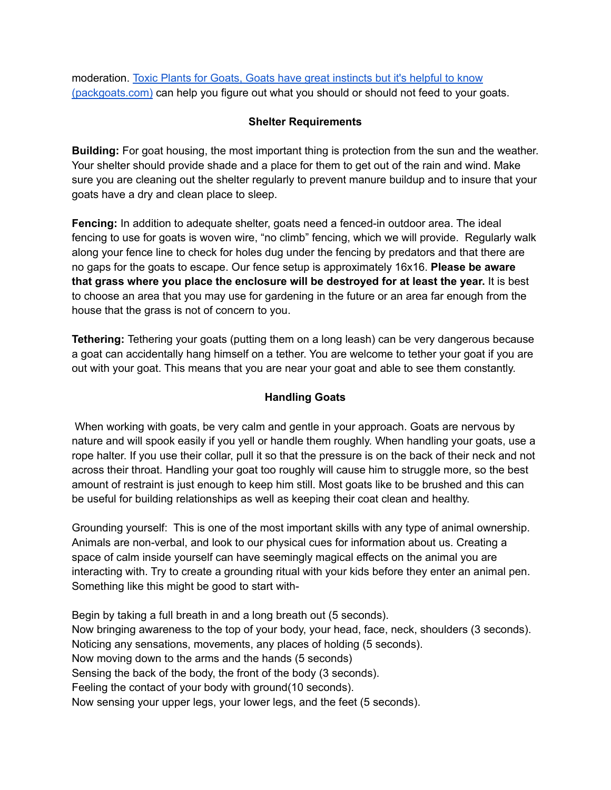moderation. Toxic Plants for Goats, Goats have great [instincts](https://packgoats.com/toxic-plants-for-goats/) but it's helpful to know [\(packgoats.com\)](https://packgoats.com/toxic-plants-for-goats/) can help you figure out what you should or should not feed to your goats.

### **Shelter Requirements**

**Building:** For goat housing, the most important thing is protection from the sun and the weather. Your shelter should provide shade and a place for them to get out of the rain and wind. Make sure you are cleaning out the shelter regularly to prevent manure buildup and to insure that your goats have a dry and clean place to sleep.

**Fencing:** In addition to adequate shelter, goats need a fenced-in outdoor area. The ideal fencing to use for goats is woven wire, "no climb" fencing, which we will provide. Regularly walk along your fence line to check for holes dug under the fencing by predators and that there are no gaps for the goats to escape. Our fence setup is approximately 16x16. **Please be aware that grass where you place the enclosure will be destroyed for at least the year.** It is best to choose an area that you may use for gardening in the future or an area far enough from the house that the grass is not of concern to you.

**Tethering:** Tethering your goats (putting them on a long leash) can be very dangerous because a goat can accidentally hang himself on a tether. You are welcome to tether your goat if you are out with your goat. This means that you are near your goat and able to see them constantly.

## **Handling Goats**

When working with goats, be very calm and gentle in your approach. Goats are nervous by nature and will spook easily if you yell or handle them roughly. When handling your goats, use a rope halter. If you use their collar, pull it so that the pressure is on the back of their neck and not across their throat. Handling your goat too roughly will cause him to struggle more, so the best amount of restraint is just enough to keep him still. Most goats like to be brushed and this can be useful for building relationships as well as keeping their coat clean and healthy.

Grounding yourself: This is one of the most important skills with any type of animal ownership. Animals are non-verbal, and look to our physical cues for information about us. Creating a space of calm inside yourself can have seemingly magical effects on the animal you are interacting with. Try to create a grounding ritual with your kids before they enter an animal pen. Something like this might be good to start with-

Begin by taking a full breath in and a long breath out (5 seconds). Now bringing awareness to the top of your body, your head, face, neck, shoulders (3 seconds). Noticing any sensations, movements, any places of holding (5 seconds). Now moving down to the arms and the hands (5 seconds) Sensing the back of the body, the front of the body (3 seconds). Feeling the contact of your body with ground(10 seconds). Now sensing your upper legs, your lower legs, and the feet (5 seconds).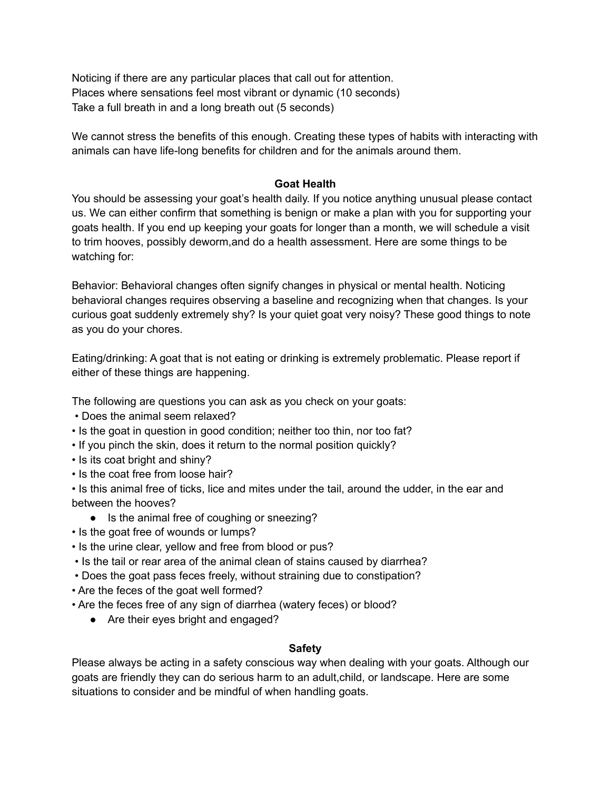Noticing if there are any particular places that call out for attention. Places where sensations feel most vibrant or dynamic (10 seconds) Take a full breath in and a long breath out (5 seconds)

We cannot stress the benefits of this enough. Creating these types of habits with interacting with animals can have life-long benefits for children and for the animals around them.

## **Goat Health**

You should be assessing your goat's health daily. If you notice anything unusual please contact us. We can either confirm that something is benign or make a plan with you for supporting your goats health. If you end up keeping your goats for longer than a month, we will schedule a visit to trim hooves, possibly deworm,and do a health assessment. Here are some things to be watching for:

Behavior: Behavioral changes often signify changes in physical or mental health. Noticing behavioral changes requires observing a baseline and recognizing when that changes. Is your curious goat suddenly extremely shy? Is your quiet goat very noisy? These good things to note as you do your chores.

Eating/drinking: A goat that is not eating or drinking is extremely problematic. Please report if either of these things are happening.

The following are questions you can ask as you check on your goats:

- Does the animal seem relaxed?
- Is the goat in question in good condition; neither too thin, nor too fat?
- If you pinch the skin, does it return to the normal position quickly?
- Is its coat bright and shiny?
- Is the coat free from loose hair?

• Is this animal free of ticks, lice and mites under the tail, around the udder, in the ear and between the hooves?

- Is the animal free of coughing or sneezing?
- Is the goat free of wounds or lumps?
- Is the urine clear, yellow and free from blood or pus?
- Is the tail or rear area of the animal clean of stains caused by diarrhea?
- Does the goat pass feces freely, without straining due to constipation?
- Are the feces of the goat well formed?
- Are the feces free of any sign of diarrhea (watery feces) or blood?
	- Are their eyes bright and engaged?

#### **Safety**

Please always be acting in a safety conscious way when dealing with your goats. Although our goats are friendly they can do serious harm to an adult,child, or landscape. Here are some situations to consider and be mindful of when handling goats.